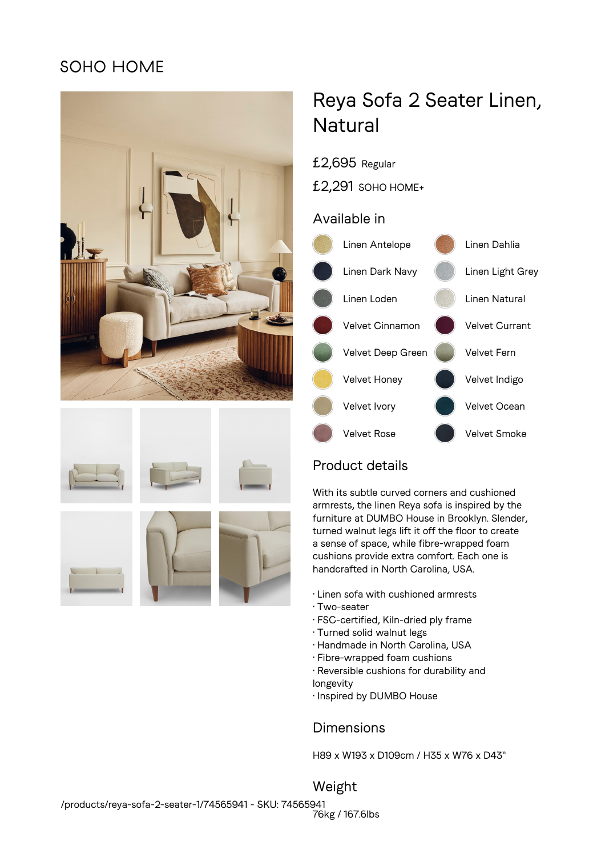## SOHO HOME











# Reya Sofa 2 Seater Linen, **Natural**

- £2,695 Regular
- £2,291 SOHO HOME+

#### Available in



## Product details

With its subtle curved corners and cushioned armrests, the linen Reya sofa is inspired by the furniture at DUMBO House in Brooklyn. Slender, turned walnut legs lift it off the floor to create a sense of space, while fibre-wrapped foam cushions provide extra comfort. Each one is handcrafted in North Carolina, USA.

- Linen sofa with cushioned armrests
- Two-seater
- FSC-certified, Kiln-dried ply frame
- Turned solid walnut legs
- Handmade in North Carolina, USA
- Fibre-wrapped foam cushions
- Reversible cushions for durability and longevity
- Inspired by DUMBO House

### Dimensions

H89 x W193 x D109cm / H35 x W76 x D43"